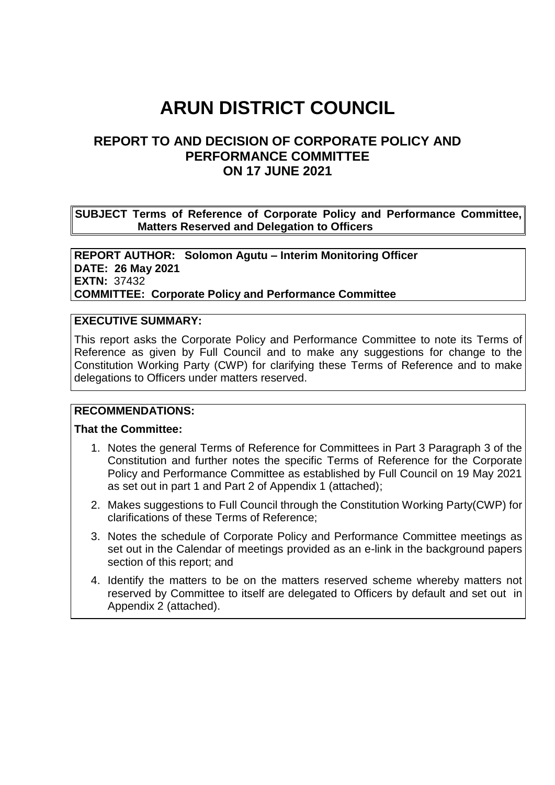# **ARUN DISTRICT COUNCIL**

# **REPORT TO AND DECISION OF CORPORATE POLICY AND PERFORMANCE COMMITTEE ON 17 JUNE 2021**

**SUBJECT Terms of Reference of Corporate Policy and Performance Committee, Matters Reserved and Delegation to Officers**

**REPORT AUTHOR: Solomon Agutu – Interim Monitoring Officer DATE: 26 May 2021 EXTN:** 37432 **COMMITTEE: Corporate Policy and Performance Committee**

#### **EXECUTIVE SUMMARY:**

This report asks the Corporate Policy and Performance Committee to note its Terms of Reference as given by Full Council and to make any suggestions for change to the Constitution Working Party (CWP) for clarifying these Terms of Reference and to make delegations to Officers under matters reserved.

#### **RECOMMENDATIONS:**

#### **That the Committee:**

- 1. Notes the general Terms of Reference for Committees in Part 3 Paragraph 3 of the Constitution and further notes the specific Terms of Reference for the Corporate Policy and Performance Committee as established by Full Council on 19 May 2021 as set out in part 1 and Part 2 of Appendix 1 (attached);
- 2. Makes suggestions to Full Council through the Constitution Working Party(CWP) for clarifications of these Terms of Reference;
- 3. Notes the schedule of Corporate Policy and Performance Committee meetings as set out in the Calendar of meetings provided as an e-link in the background papers section of this report; and
- 4. Identify the matters to be on the matters reserved scheme whereby matters not reserved by Committee to itself are delegated to Officers by default and set out in Appendix 2 (attached).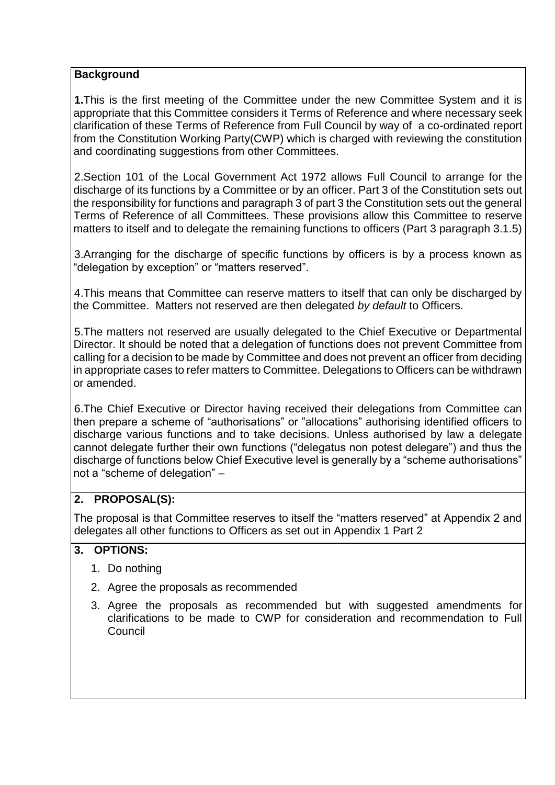#### **Background**

**1.**This is the first meeting of the Committee under the new Committee System and it is appropriate that this Committee considers it Terms of Reference and where necessary seek clarification of these Terms of Reference from Full Council by way of a co-ordinated report from the Constitution Working Party(CWP) which is charged with reviewing the constitution and coordinating suggestions from other Committees.

2.Section 101 of the Local Government Act 1972 allows Full Council to arrange for the discharge of its functions by a Committee or by an officer. Part 3 of the Constitution sets out the responsibility for functions and paragraph 3 of part 3 the Constitution sets out the general Terms of Reference of all Committees. These provisions allow this Committee to reserve matters to itself and to delegate the remaining functions to officers (Part 3 paragraph 3.1.5)

3.Arranging for the discharge of specific functions by officers is by a process known as "delegation by exception" or "matters reserved".

4.This means that Committee can reserve matters to itself that can only be discharged by the Committee. Matters not reserved are then delegated *by default* to Officers.

5.The matters not reserved are usually delegated to the Chief Executive or Departmental Director. It should be noted that a delegation of functions does not prevent Committee from calling for a decision to be made by Committee and does not prevent an officer from deciding in appropriate cases to refer matters to Committee. Delegations to Officers can be withdrawn or amended.

6.The Chief Executive or Director having received their delegations from Committee can then prepare a scheme of "authorisations" or "allocations" authorising identified officers to discharge various functions and to take decisions. Unless authorised by law a delegate cannot delegate further their own functions ("delegatus non potest delegare") and thus the discharge of functions below Chief Executive level is generally by a "scheme authorisations" not a "scheme of delegation" –

## **2. PROPOSAL(S):**

The proposal is that Committee reserves to itself the "matters reserved" at Appendix 2 and delegates all other functions to Officers as set out in Appendix 1 Part 2

# **3. OPTIONS:**

- 1. Do nothing
- 2. Agree the proposals as recommended
- 3. Agree the proposals as recommended but with suggested amendments for clarifications to be made to CWP for consideration and recommendation to Full Council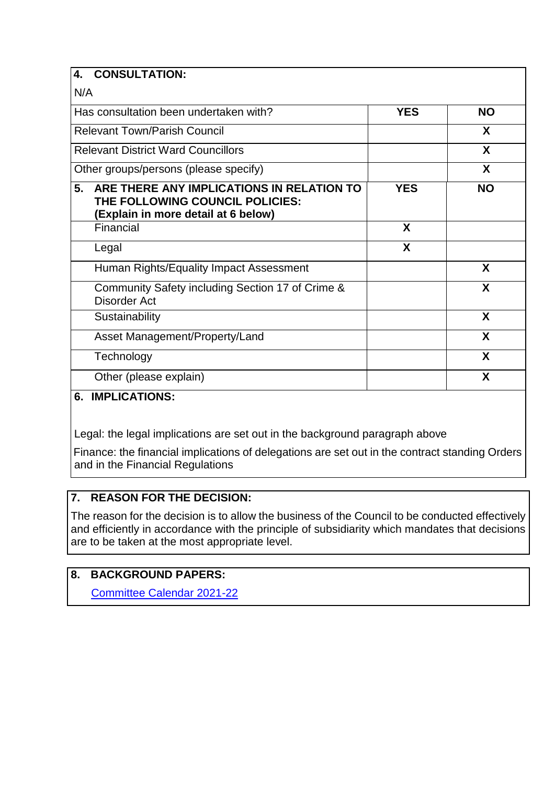| <b>CONSULTATION:</b><br>4.                                                                                                |            |           |
|---------------------------------------------------------------------------------------------------------------------------|------------|-----------|
| N/A                                                                                                                       |            |           |
| Has consultation been undertaken with?                                                                                    | <b>YES</b> | <b>NO</b> |
| <b>Relevant Town/Parish Council</b>                                                                                       |            | X         |
| <b>Relevant District Ward Councillors</b>                                                                                 |            | X         |
| Other groups/persons (please specify)                                                                                     |            | X         |
| 5.<br>ARE THERE ANY IMPLICATIONS IN RELATION TO<br>THE FOLLOWING COUNCIL POLICIES:<br>(Explain in more detail at 6 below) | <b>YES</b> | <b>NO</b> |
| Financial                                                                                                                 | X          |           |
| Legal                                                                                                                     | X          |           |
| Human Rights/Equality Impact Assessment                                                                                   |            | X         |
| Community Safety including Section 17 of Crime &<br><b>Disorder Act</b>                                                   |            | X         |
| Sustainability                                                                                                            |            | X         |
| Asset Management/Property/Land                                                                                            |            | X         |
| Technology                                                                                                                |            | X         |
| Other (please explain)                                                                                                    |            | X         |
| IMDI ICATIONIC.<br>c                                                                                                      |            |           |

# **6. IMPLICATIONS:**

Legal: the legal implications are set out in the background paragraph above

Finance: the financial implications of delegations are set out in the contract standing Orders and in the Financial Regulations

# **7. REASON FOR THE DECISION:**

The reason for the decision is to allow the business of the Council to be conducted effectively and efficiently in accordance with the principle of subsidiarity which mandates that decisions are to be taken at the most appropriate level.

## **8. BACKGROUND PAPERS:**

[Committee Calendar 2021-22](https://www.arun.gov.uk/download.cfm?doc=docm93jijm4n17031.pdf&ver=17640)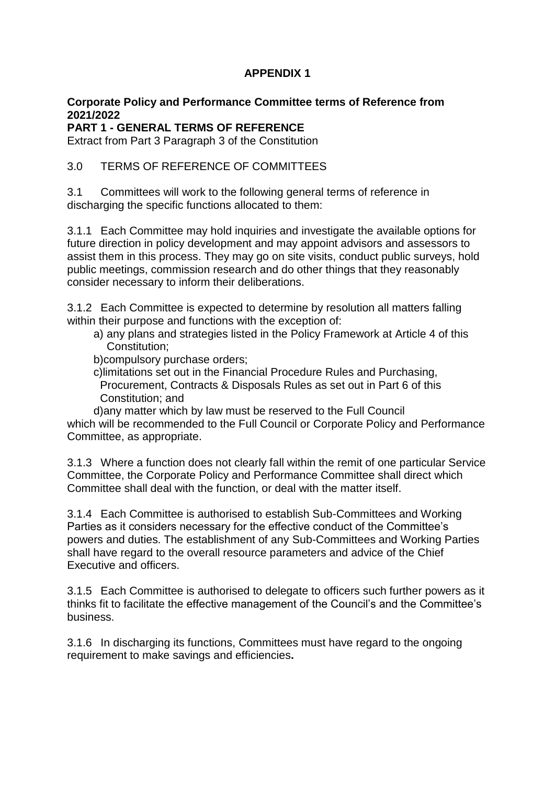# **APPENDIX 1**

## **Corporate Policy and Performance Committee terms of Reference from 2021/2022**

**PART 1 - GENERAL TERMS OF REFERENCE**

Extract from Part 3 Paragraph 3 of the Constitution

## 3.0 TERMS OF REFERENCE OF COMMITTEES

3.1 Committees will work to the following general terms of reference in discharging the specific functions allocated to them:

3.1.1 Each Committee may hold inquiries and investigate the available options for future direction in policy development and may appoint advisors and assessors to assist them in this process. They may go on site visits, conduct public surveys, hold public meetings, commission research and do other things that they reasonably consider necessary to inform their deliberations.

3.1.2 Each Committee is expected to determine by resolution all matters falling within their purpose and functions with the exception of:

- a) any plans and strategies listed in the Policy Framework at Article 4 of this Constitution;
- b)compulsory purchase orders;
- c)limitations set out in the Financial Procedure Rules and Purchasing, Procurement, Contracts & Disposals Rules as set out in Part 6 of this Constitution; and

d)any matter which by law must be reserved to the Full Council which will be recommended to the Full Council or Corporate Policy and Performance Committee, as appropriate.

3.1.3 Where a function does not clearly fall within the remit of one particular Service Committee, the Corporate Policy and Performance Committee shall direct which Committee shall deal with the function, or deal with the matter itself.

3.1.4 Each Committee is authorised to establish Sub-Committees and Working Parties as it considers necessary for the effective conduct of the Committee's powers and duties. The establishment of any Sub-Committees and Working Parties shall have regard to the overall resource parameters and advice of the Chief Executive and officers.

3.1.5 Each Committee is authorised to delegate to officers such further powers as it thinks fit to facilitate the effective management of the Council's and the Committee's business.

3.1.6 In discharging its functions, Committees must have regard to the ongoing requirement to make savings and efficiencies**.**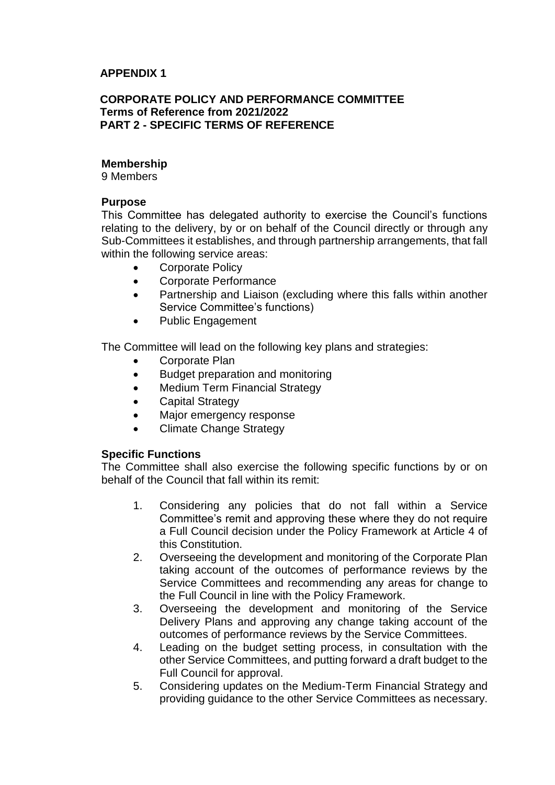#### **APPENDIX 1**

#### **CORPORATE POLICY AND PERFORMANCE COMMITTEE Terms of Reference from 2021/2022 PART 2 - SPECIFIC TERMS OF REFERENCE**

#### **Membership**

9 Members

#### **Purpose**

This Committee has delegated authority to exercise the Council's functions relating to the delivery, by or on behalf of the Council directly or through any Sub-Committees it establishes, and through partnership arrangements, that fall within the following service areas:

- Corporate Policy
- Corporate Performance
- Partnership and Liaison (excluding where this falls within another Service Committee's functions)
- Public Engagement

The Committee will lead on the following key plans and strategies:

- Corporate Plan
- Budget preparation and monitoring
- Medium Term Financial Strategy
- Capital Strategy
- Major emergency response
- Climate Change Strategy

#### **Specific Functions**

The Committee shall also exercise the following specific functions by or on behalf of the Council that fall within its remit:

- 1. Considering any policies that do not fall within a Service Committee's remit and approving these where they do not require a Full Council decision under the Policy Framework at Article 4 of this Constitution.
- 2. Overseeing the development and monitoring of the Corporate Plan taking account of the outcomes of performance reviews by the Service Committees and recommending any areas for change to the Full Council in line with the Policy Framework.
- 3. Overseeing the development and monitoring of the Service Delivery Plans and approving any change taking account of the outcomes of performance reviews by the Service Committees.
- 4. Leading on the budget setting process, in consultation with the other Service Committees, and putting forward a draft budget to the Full Council for approval.
- 5. Considering updates on the Medium-Term Financial Strategy and providing guidance to the other Service Committees as necessary.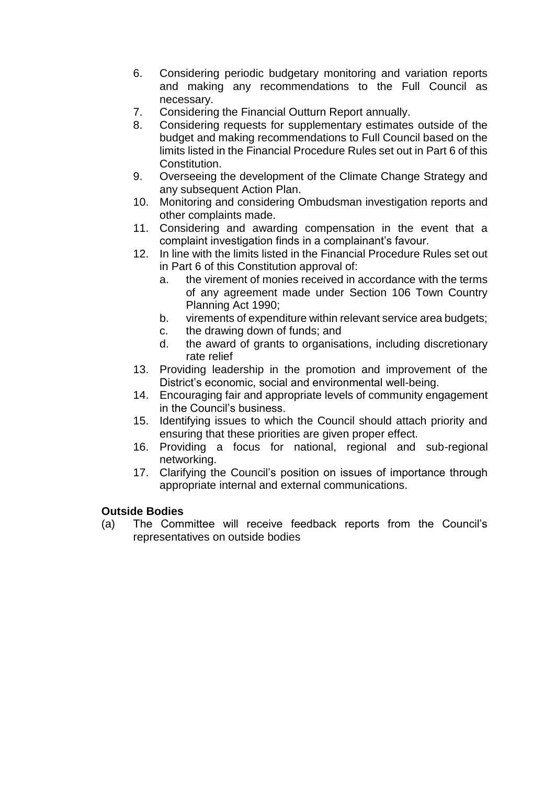- 6. Considering periodic budgetary monitoring and variation reports and making any recommendations to the Full Council as necessary.
- 7. Considering the Financial Outturn Report annually.
- 8. Considering requests for supplementary estimates outside of the budget and making recommendations to Full Council based on the limits listed in the Financial Procedure Rules set out in Part 6 of this Constitution.
- 9. Overseeing the development of the Climate Change Strategy and any subsequent Action Plan.
- 10. Monitoring and considering Ombudsman investigation reports and other complaints made.
- 11. Considering and awarding compensation in the event that a complaint investigation finds in a complainant's favour.
- 12. In line with the limits listed in the Financial Procedure Rules set out in Part 6 of this Constitution approval of:
	- a. the virement of monies received in accordance with the terms of any agreement made under Section 106 Town Country Planning Act 1990;
	- b. virements of expenditure within relevant service area budgets;
	- c. the drawing down of funds; and
	- d. the award of grants to organisations, including discretionary rate relief
- 13. Providing leadership in the promotion and improvement of the District's economic, social and environmental well-being.
- 14. Encouraging fair and appropriate levels of community engagement in the Council's business.
- 15. Identifying issues to which the Council should attach priority and ensuring that these priorities are given proper effect.
- 16. Providing a focus for national, regional and sub-regional networking.
- 17. Clarifying the Council's position on issues of importance through appropriate internal and external communications.

## **Outside Bodies**

(a) The Committee will receive feedback reports from the Council's representatives on outside bodies